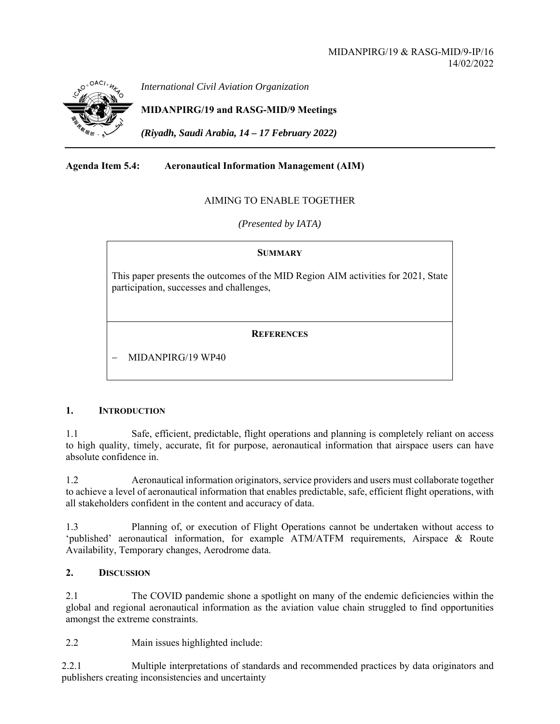

*International Civil Aviation Organization*

**MIDANPIRG/19 and RASG-MID/9 Meetings** 

*(Riyadh, Saudi Arabia, 14 – 17 February 2022)* 

# **Agenda Item 5.4: Aeronautical Information Management (AIM)**

## AIMING TO ENABLE TOGETHER

*(Presented by IATA)* 

## **SUMMARY**

This paper presents the outcomes of the MID Region AIM activities for 2021, State participation, successes and challenges,

## **REFERENCES**

MIDANPIRG/19 WP40

## **1. INTRODUCTION**

1.1 Safe, efficient, predictable, flight operations and planning is completely reliant on access to high quality, timely, accurate, fit for purpose, aeronautical information that airspace users can have absolute confidence in.

1.2 Aeronautical information originators, service providers and users must collaborate together to achieve a level of aeronautical information that enables predictable, safe, efficient flight operations, with all stakeholders confident in the content and accuracy of data.

1.3 Planning of, or execution of Flight Operations cannot be undertaken without access to 'published' aeronautical information, for example ATM/ATFM requirements, Airspace & Route Availability, Temporary changes, Aerodrome data.

#### **2. DISCUSSION**

2.1 The COVID pandemic shone a spotlight on many of the endemic deficiencies within the global and regional aeronautical information as the aviation value chain struggled to find opportunities amongst the extreme constraints.

2.2 Main issues highlighted include:

2.2.1 Multiple interpretations of standards and recommended practices by data originators and publishers creating inconsistencies and uncertainty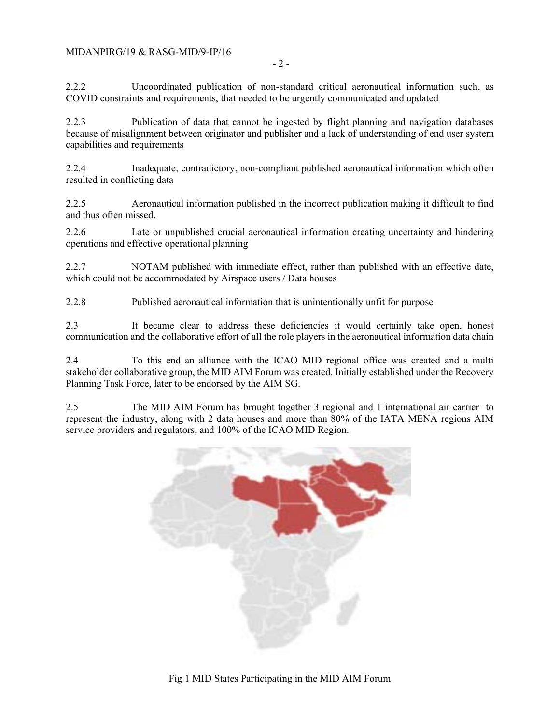- 2 -

2.2.2 Uncoordinated publication of non-standard critical aeronautical information such, as COVID constraints and requirements, that needed to be urgently communicated and updated

2.2.3 Publication of data that cannot be ingested by flight planning and navigation databases because of misalignment between originator and publisher and a lack of understanding of end user system capabilities and requirements

2.2.4 Inadequate, contradictory, non-compliant published aeronautical information which often resulted in conflicting data

2.2.5 Aeronautical information published in the incorrect publication making it difficult to find and thus often missed.

2.2.6 Late or unpublished crucial aeronautical information creating uncertainty and hindering operations and effective operational planning

2.2.7 NOTAM published with immediate effect, rather than published with an effective date, which could not be accommodated by Airspace users / Data houses

2.2.8 Published aeronautical information that is unintentionally unfit for purpose

2.3 It became clear to address these deficiencies it would certainly take open, honest communication and the collaborative effort of all the role players in the aeronautical information data chain

2.4 To this end an alliance with the ICAO MID regional office was created and a multi stakeholder collaborative group, the MID AIM Forum was created. Initially established under the Recovery Planning Task Force, later to be endorsed by the AIM SG.

2.5 The MID AIM Forum has brought together 3 regional and 1 international air carrier to represent the industry, along with 2 data houses and more than 80% of the IATA MENA regions AIM service providers and regulators, and 100% of the ICAO MID Region.



Fig 1 MID States Participating in the MID AIM Forum